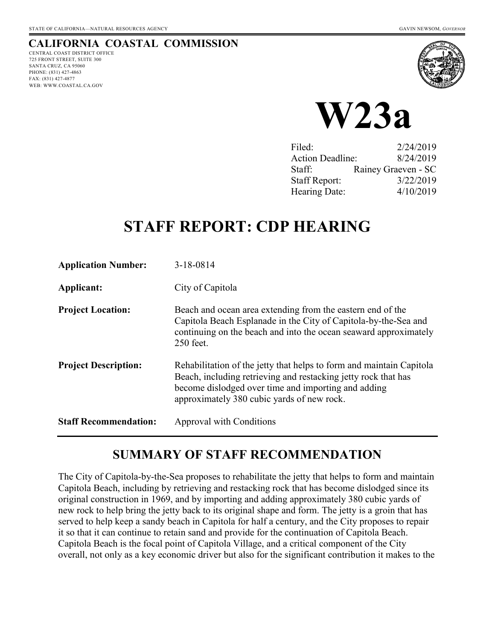### **CALIFORNIA COASTAL COMMISSION**

CENTRAL COAST DISTRICT OFFICE 725 FRONT STREET, SUITE 300 SANTA CRUZ, CA 95060 PHONE: (831) 427-4863 FAX: (831) 427-4877 WEB: WWW.COASTAL.CA.GOV





| Filed:                  | 2/24/2019           |
|-------------------------|---------------------|
| <b>Action Deadline:</b> | 8/24/2019           |
| Staff:                  | Rainey Graeven - SC |
| <b>Staff Report:</b>    | 3/22/2019           |
| Hearing Date:           | 4/10/2019           |

# **STAFF REPORT: CDP HEARING**

| <b>Application Number:</b>   | $3 - 18 - 0814$                                                                                                                                                                                                                             |
|------------------------------|---------------------------------------------------------------------------------------------------------------------------------------------------------------------------------------------------------------------------------------------|
| Applicant:                   | City of Capitola                                                                                                                                                                                                                            |
| <b>Project Location:</b>     | Beach and ocean area extending from the eastern end of the<br>Capitola Beach Esplanade in the City of Capitola-by-the-Sea and<br>continuing on the beach and into the ocean seaward approximately<br>250 feet.                              |
| <b>Project Description:</b>  | Rehabilitation of the jetty that helps to form and maintain Capitola<br>Beach, including retrieving and restacking jetty rock that has<br>become dislodged over time and importing and adding<br>approximately 380 cubic yards of new rock. |
| <b>Staff Recommendation:</b> | Approval with Conditions                                                                                                                                                                                                                    |

### **SUMMARY OF STAFF RECOMMENDATION**

The City of Capitola-by-the-Sea proposes to rehabilitate the jetty that helps to form and maintain Capitola Beach, including by retrieving and restacking rock that has become dislodged since its original construction in 1969, and by importing and adding approximately 380 cubic yards of new rock to help bring the jetty back to its original shape and form. The jetty is a groin that has served to help keep a sandy beach in Capitola for half a century, and the City proposes to repair it so that it can continue to retain sand and provide for the continuation of Capitola Beach. Capitola Beach is the focal point of Capitola Village, and a critical component of the City overall, not only as a key economic driver but also for the significant contribution it makes to the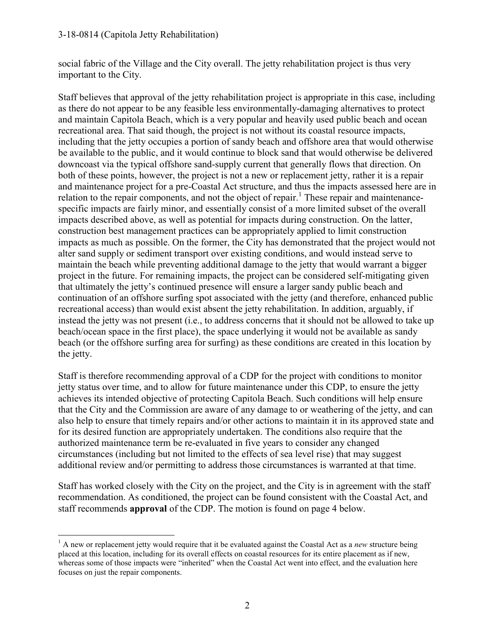#### 3-18-0814 (Capitola Jetty Rehabilitation)

social fabric of the Village and the City overall. The jetty rehabilitation project is thus very important to the City.

Staff believes that approval of the jetty rehabilitation project is appropriate in this case, including as there do not appear to be any feasible less environmentally-damaging alternatives to protect and maintain Capitola Beach, which is a very popular and heavily used public beach and ocean recreational area. That said though, the project is not without its coastal resource impacts, including that the jetty occupies a portion of sandy beach and offshore area that would otherwise be available to the public, and it would continue to block sand that would otherwise be delivered downcoast via the typical offshore sand-supply current that generally flows that direction. On both of these points, however, the project is not a new or replacement jetty, rather it is a repair and maintenance project for a pre-Coastal Act structure, and thus the impacts assessed here are in relation to the repair components, and not the object of repair.<sup>1</sup> These repair and maintenancespecific impacts are fairly minor, and essentially consist of a more limited subset of the overall impacts described above, as well as potential for impacts during construction. On the latter, construction best management practices can be appropriately applied to limit construction impacts as much as possible. On the former, the City has demonstrated that the project would not alter sand supply or sediment transport over existing conditions, and would instead serve to maintain the beach while preventing additional damage to the jetty that would warrant a bigger project in the future. For remaining impacts, the project can be considered self-mitigating given that ultimately the jetty's continued presence will ensure a larger sandy public beach and continuation of an offshore surfing spot associated with the jetty (and therefore, enhanced public recreational access) than would exist absent the jetty rehabilitation. In addition, arguably, if instead the jetty was not present (i.e., to address concerns that it should not be allowed to take up beach/ocean space in the first place), the space underlying it would not be available as sandy beach (or the offshore surfing area for surfing) as these conditions are created in this location by the jetty.

Staff is therefore recommending approval of a CDP for the project with conditions to monitor jetty status over time, and to allow for future maintenance under this CDP, to ensure the jetty achieves its intended objective of protecting Capitola Beach. Such conditions will help ensure that the City and the Commission are aware of any damage to or weathering of the jetty, and can also help to ensure that timely repairs and/or other actions to maintain it in its approved state and for its desired function are appropriately undertaken. The conditions also require that the authorized maintenance term be re-evaluated in five years to consider any changed circumstances (including but not limited to the effects of sea level rise) that may suggest additional review and/or permitting to address those circumstances is warranted at that time.

Staff has worked closely with the City on the project, and the City is in agreement with the staff recommendation. As conditioned, the project can be found consistent with the Coastal Act, and staff recommends **approval** of the CDP. The motion is found on page 4 below.

 $\overline{a}$ <sup>1</sup> A new or replacement jetty would require that it be evaluated against the Coastal Act as a *new* structure being placed at this location, including for its overall effects on coastal resources for its entire placement as if new, whereas some of those impacts were "inherited" when the Coastal Act went into effect, and the evaluation here focuses on just the repair components.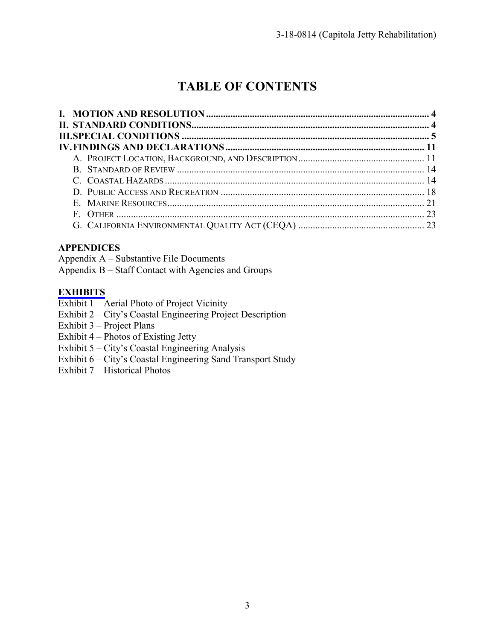## **TABLE OF CONTENTS**

### **APPENDICES**

Appendix A – Substantive File Documents Appendix B – Staff Contact with Agencies and Groups

#### **[EXHIBITS](https://documents.coastal.ca.gov/reports/2019/4/W23a/W23a-4-2019-exhibits.pd)**

Exhibit 1 – Aerial Photo of Project Vicinity

- Exhibit 2 City's Coastal Engineering Project Description
- Exhibit 3 Project Plans
- Exhibit 4 Photos of Existing Jetty
- Exhibit 5 City's Coastal Engineering Analysis
- Exhibit 6 City's Coastal Engineering Sand Transport Study
- Exhibit 7 Historical Photos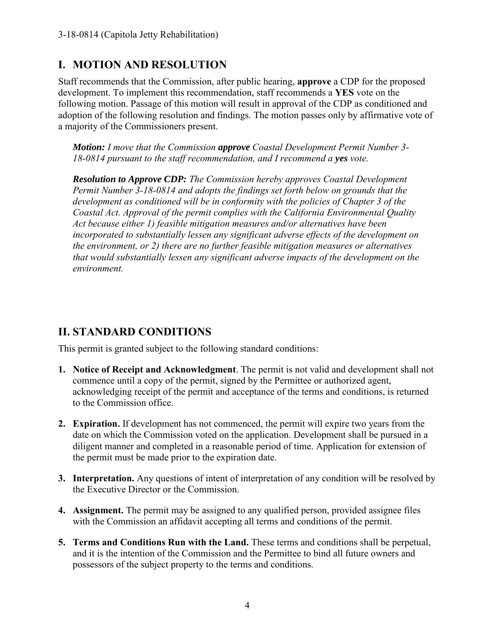### **I. MOTION AND RESOLUTION**

Staff recommends that the Commission, after public hearing, **approve** a CDP for the proposed development. To implement this recommendation, staff recommends a **YES** vote on the following motion. Passage of this motion will result in approval of the CDP as conditioned and adoption of the following resolution and findings. The motion passes only by affirmative vote of a majority of the Commissioners present.

*Motion: I move that the Commission approve Coastal Development Permit Number 3- 18-0814 pursuant to the staff recommendation, and I recommend a yes vote.* 

*Resolution to Approve CDP: The Commission hereby approves Coastal Development Permit Number 3-18-0814 and adopts the findings set forth below on grounds that the development as conditioned will be in conformity with the policies of Chapter 3 of the Coastal Act. Approval of the permit complies with the California Environmental Quality Act because either 1) feasible mitigation measures and/or alternatives have been incorporated to substantially lessen any significant adverse effects of the development on the environment, or 2) there are no further feasible mitigation measures or alternatives that would substantially lessen any significant adverse impacts of the development on the environment.* 

### **II. STANDARD CONDITIONS**

This permit is granted subject to the following standard conditions:

- **1. Notice of Receipt and Acknowledgment**. The permit is not valid and development shall not commence until a copy of the permit, signed by the Permittee or authorized agent, acknowledging receipt of the permit and acceptance of the terms and conditions, is returned to the Commission office.
- **2. Expiration.** If development has not commenced, the permit will expire two years from the date on which the Commission voted on the application. Development shall be pursued in a diligent manner and completed in a reasonable period of time. Application for extension of the permit must be made prior to the expiration date.
- **3. Interpretation.** Any questions of intent of interpretation of any condition will be resolved by the Executive Director or the Commission.
- **4. Assignment.** The permit may be assigned to any qualified person, provided assignee files with the Commission an affidavit accepting all terms and conditions of the permit.
- **5. Terms and Conditions Run with the Land.** These terms and conditions shall be perpetual, and it is the intention of the Commission and the Permittee to bind all future owners and possessors of the subject property to the terms and conditions.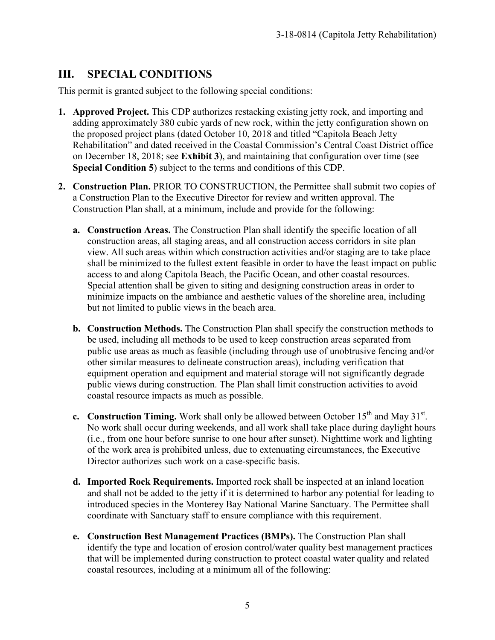### **III. SPECIAL CONDITIONS**

This permit is granted subject to the following special conditions:

- **1. Approved Project.** This CDP authorizes restacking existing jetty rock, and importing and adding approximately 380 cubic yards of new rock, within the jetty configuration shown on the proposed project plans (dated October 10, 2018 and titled "Capitola Beach Jetty Rehabilitation" and dated received in the Coastal Commission's Central Coast District office on December 18, 2018; see **Exhibit 3**), and maintaining that configuration over time (see **Special Condition 5**) subject to the terms and conditions of this CDP.
- **2. Construction Plan.** PRIOR TO CONSTRUCTION, the Permittee shall submit two copies of a Construction Plan to the Executive Director for review and written approval. The Construction Plan shall, at a minimum, include and provide for the following:
	- **a. Construction Areas.** The Construction Plan shall identify the specific location of all construction areas, all staging areas, and all construction access corridors in site plan view. All such areas within which construction activities and/or staging are to take place shall be minimized to the fullest extent feasible in order to have the least impact on public access to and along Capitola Beach, the Pacific Ocean, and other coastal resources. Special attention shall be given to siting and designing construction areas in order to minimize impacts on the ambiance and aesthetic values of the shoreline area, including but not limited to public views in the beach area.
	- **b. Construction Methods.** The Construction Plan shall specify the construction methods to be used, including all methods to be used to keep construction areas separated from public use areas as much as feasible (including through use of unobtrusive fencing and/or other similar measures to delineate construction areas), including verification that equipment operation and equipment and material storage will not significantly degrade public views during construction. The Plan shall limit construction activities to avoid coastal resource impacts as much as possible.
	- **c.** Construction Timing. Work shall only be allowed between October  $15<sup>th</sup>$  and May  $31<sup>st</sup>$ . No work shall occur during weekends, and all work shall take place during daylight hours (i.e., from one hour before sunrise to one hour after sunset). Nighttime work and lighting of the work area is prohibited unless, due to extenuating circumstances, the Executive Director authorizes such work on a case-specific basis.
	- **d. Imported Rock Requirements.** Imported rock shall be inspected at an inland location and shall not be added to the jetty if it is determined to harbor any potential for leading to introduced species in the Monterey Bay National Marine Sanctuary. The Permittee shall coordinate with Sanctuary staff to ensure compliance with this requirement.
	- **e. Construction Best Management Practices (BMPs).** The Construction Plan shall identify the type and location of erosion control/water quality best management practices that will be implemented during construction to protect coastal water quality and related coastal resources, including at a minimum all of the following: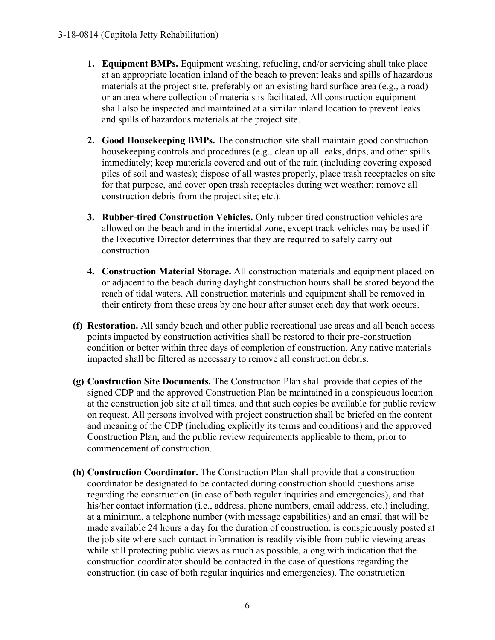- **1. Equipment BMPs.** Equipment washing, refueling, and/or servicing shall take place at an appropriate location inland of the beach to prevent leaks and spills of hazardous materials at the project site, preferably on an existing hard surface area (e.g., a road) or an area where collection of materials is facilitated. All construction equipment shall also be inspected and maintained at a similar inland location to prevent leaks and spills of hazardous materials at the project site.
- **2. Good Housekeeping BMPs.** The construction site shall maintain good construction housekeeping controls and procedures (e.g., clean up all leaks, drips, and other spills immediately; keep materials covered and out of the rain (including covering exposed piles of soil and wastes); dispose of all wastes properly, place trash receptacles on site for that purpose, and cover open trash receptacles during wet weather; remove all construction debris from the project site; etc.).
- **3. Rubber-tired Construction Vehicles.** Only rubber-tired construction vehicles are allowed on the beach and in the intertidal zone, except track vehicles may be used if the Executive Director determines that they are required to safely carry out construction.
- **4. Construction Material Storage.** All construction materials and equipment placed on or adjacent to the beach during daylight construction hours shall be stored beyond the reach of tidal waters. All construction materials and equipment shall be removed in their entirety from these areas by one hour after sunset each day that work occurs.
- **(f) Restoration.** All sandy beach and other public recreational use areas and all beach access points impacted by construction activities shall be restored to their pre-construction condition or better within three days of completion of construction. Any native materials impacted shall be filtered as necessary to remove all construction debris.
- **(g) Construction Site Documents.** The Construction Plan shall provide that copies of the signed CDP and the approved Construction Plan be maintained in a conspicuous location at the construction job site at all times, and that such copies be available for public review on request. All persons involved with project construction shall be briefed on the content and meaning of the CDP (including explicitly its terms and conditions) and the approved Construction Plan, and the public review requirements applicable to them, prior to commencement of construction.
- **(h) Construction Coordinator.** The Construction Plan shall provide that a construction coordinator be designated to be contacted during construction should questions arise regarding the construction (in case of both regular inquiries and emergencies), and that his/her contact information (i.e., address, phone numbers, email address, etc.) including, at a minimum, a telephone number (with message capabilities) and an email that will be made available 24 hours a day for the duration of construction, is conspicuously posted at the job site where such contact information is readily visible from public viewing areas while still protecting public views as much as possible, along with indication that the construction coordinator should be contacted in the case of questions regarding the construction (in case of both regular inquiries and emergencies). The construction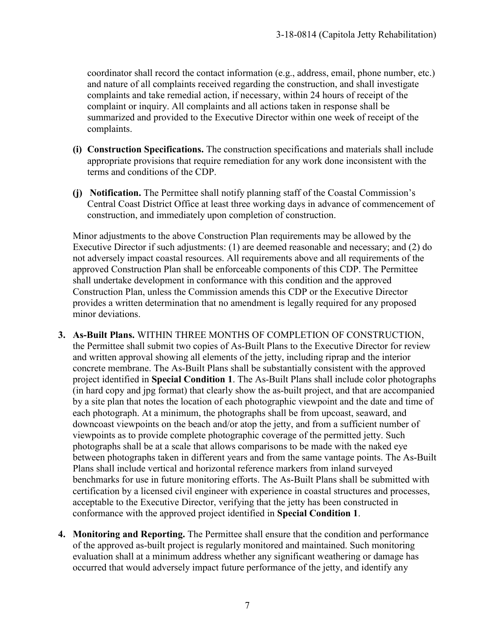coordinator shall record the contact information (e.g., address, email, phone number, etc.) and nature of all complaints received regarding the construction, and shall investigate complaints and take remedial action, if necessary, within 24 hours of receipt of the complaint or inquiry. All complaints and all actions taken in response shall be summarized and provided to the Executive Director within one week of receipt of the complaints.

- **(i) Construction Specifications.** The construction specifications and materials shall include appropriate provisions that require remediation for any work done inconsistent with the terms and conditions of the CDP.
- **(j) Notification.** The Permittee shall notify planning staff of the Coastal Commission's Central Coast District Office at least three working days in advance of commencement of construction, and immediately upon completion of construction.

Minor adjustments to the above Construction Plan requirements may be allowed by the Executive Director if such adjustments: (1) are deemed reasonable and necessary; and (2) do not adversely impact coastal resources. All requirements above and all requirements of the approved Construction Plan shall be enforceable components of this CDP. The Permittee shall undertake development in conformance with this condition and the approved Construction Plan, unless the Commission amends this CDP or the Executive Director provides a written determination that no amendment is legally required for any proposed minor deviations.

- **3. As-Built Plans.** WITHIN THREE MONTHS OF COMPLETION OF CONSTRUCTION, the Permittee shall submit two copies of As-Built Plans to the Executive Director for review and written approval showing all elements of the jetty, including riprap and the interior concrete membrane. The As-Built Plans shall be substantially consistent with the approved project identified in **Special Condition 1**. The As-Built Plans shall include color photographs (in hard copy and jpg format) that clearly show the as-built project, and that are accompanied by a site plan that notes the location of each photographic viewpoint and the date and time of each photograph. At a minimum, the photographs shall be from upcoast, seaward, and downcoast viewpoints on the beach and/or atop the jetty, and from a sufficient number of viewpoints as to provide complete photographic coverage of the permitted jetty. Such photographs shall be at a scale that allows comparisons to be made with the naked eye between photographs taken in different years and from the same vantage points. The As-Built Plans shall include vertical and horizontal reference markers from inland surveyed benchmarks for use in future monitoring efforts. The As-Built Plans shall be submitted with certification by a licensed civil engineer with experience in coastal structures and processes, acceptable to the Executive Director, verifying that the jetty has been constructed in conformance with the approved project identified in **Special Condition 1**.
- **4. Monitoring and Reporting.** The Permittee shall ensure that the condition and performance of the approved as-built project is regularly monitored and maintained. Such monitoring evaluation shall at a minimum address whether any significant weathering or damage has occurred that would adversely impact future performance of the jetty, and identify any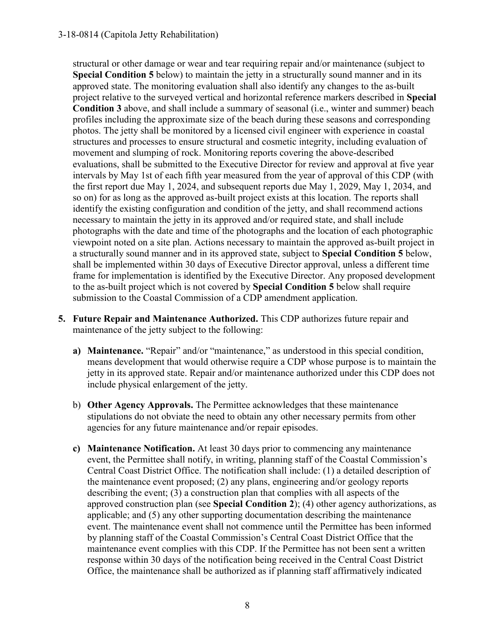#### 3-18-0814 (Capitola Jetty Rehabilitation)

structural or other damage or wear and tear requiring repair and/or maintenance (subject to **Special Condition 5** below) to maintain the jetty in a structurally sound manner and in its approved state. The monitoring evaluation shall also identify any changes to the as-built project relative to the surveyed vertical and horizontal reference markers described in **Special Condition 3** above, and shall include a summary of seasonal (i.e., winter and summer) beach profiles including the approximate size of the beach during these seasons and corresponding photos. The jetty shall be monitored by a licensed civil engineer with experience in coastal structures and processes to ensure structural and cosmetic integrity, including evaluation of movement and slumping of rock. Monitoring reports covering the above-described evaluations, shall be submitted to the Executive Director for review and approval at five year intervals by May 1st of each fifth year measured from the year of approval of this CDP (with the first report due May 1, 2024, and subsequent reports due May 1, 2029, May 1, 2034, and so on) for as long as the approved as-built project exists at this location. The reports shall identify the existing configuration and condition of the jetty, and shall recommend actions necessary to maintain the jetty in its approved and/or required state, and shall include photographs with the date and time of the photographs and the location of each photographic viewpoint noted on a site plan. Actions necessary to maintain the approved as-built project in a structurally sound manner and in its approved state, subject to **Special Condition 5** below, shall be implemented within 30 days of Executive Director approval, unless a different time frame for implementation is identified by the Executive Director. Any proposed development to the as-built project which is not covered by **Special Condition 5** below shall require submission to the Coastal Commission of a CDP amendment application.

- **5. Future Repair and Maintenance Authorized.** This CDP authorizes future repair and maintenance of the jetty subject to the following:
	- **a) Maintenance.** "Repair" and/or "maintenance," as understood in this special condition, means development that would otherwise require a CDP whose purpose is to maintain the jetty in its approved state. Repair and/or maintenance authorized under this CDP does not include physical enlargement of the jetty.
	- b) **Other Agency Approvals.** The Permittee acknowledges that these maintenance stipulations do not obviate the need to obtain any other necessary permits from other agencies for any future maintenance and/or repair episodes.
	- **c) Maintenance Notification.** At least 30 days prior to commencing any maintenance event, the Permittee shall notify, in writing, planning staff of the Coastal Commission's Central Coast District Office. The notification shall include: (1) a detailed description of the maintenance event proposed; (2) any plans, engineering and/or geology reports describing the event; (3) a construction plan that complies with all aspects of the approved construction plan (see **Special Condition 2**); (4) other agency authorizations, as applicable; and (5) any other supporting documentation describing the maintenance event. The maintenance event shall not commence until the Permittee has been informed by planning staff of the Coastal Commission's Central Coast District Office that the maintenance event complies with this CDP. If the Permittee has not been sent a written response within 30 days of the notification being received in the Central Coast District Office, the maintenance shall be authorized as if planning staff affirmatively indicated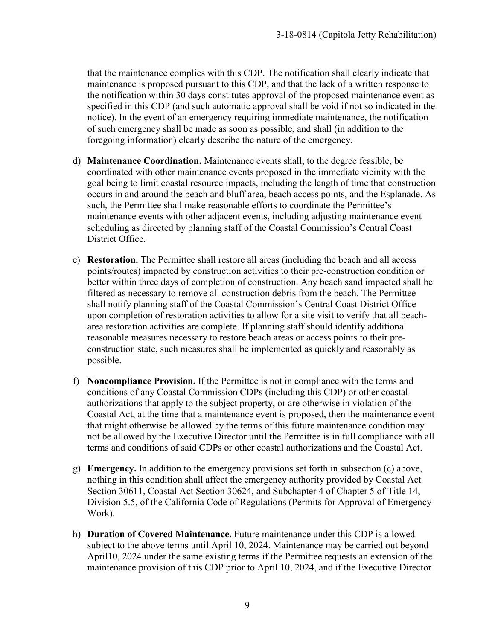that the maintenance complies with this CDP. The notification shall clearly indicate that maintenance is proposed pursuant to this CDP, and that the lack of a written response to the notification within 30 days constitutes approval of the proposed maintenance event as specified in this CDP (and such automatic approval shall be void if not so indicated in the notice). In the event of an emergency requiring immediate maintenance, the notification of such emergency shall be made as soon as possible, and shall (in addition to the foregoing information) clearly describe the nature of the emergency.

- d) **Maintenance Coordination.** Maintenance events shall, to the degree feasible, be coordinated with other maintenance events proposed in the immediate vicinity with the goal being to limit coastal resource impacts, including the length of time that construction occurs in and around the beach and bluff area, beach access points, and the Esplanade. As such, the Permittee shall make reasonable efforts to coordinate the Permittee's maintenance events with other adjacent events, including adjusting maintenance event scheduling as directed by planning staff of the Coastal Commission's Central Coast District Office.
- e) **Restoration.** The Permittee shall restore all areas (including the beach and all access points/routes) impacted by construction activities to their pre-construction condition or better within three days of completion of construction. Any beach sand impacted shall be filtered as necessary to remove all construction debris from the beach. The Permittee shall notify planning staff of the Coastal Commission's Central Coast District Office upon completion of restoration activities to allow for a site visit to verify that all beacharea restoration activities are complete. If planning staff should identify additional reasonable measures necessary to restore beach areas or access points to their preconstruction state, such measures shall be implemented as quickly and reasonably as possible.
- f) **Noncompliance Provision.** If the Permittee is not in compliance with the terms and conditions of any Coastal Commission CDPs (including this CDP) or other coastal authorizations that apply to the subject property, or are otherwise in violation of the Coastal Act, at the time that a maintenance event is proposed, then the maintenance event that might otherwise be allowed by the terms of this future maintenance condition may not be allowed by the Executive Director until the Permittee is in full compliance with all terms and conditions of said CDPs or other coastal authorizations and the Coastal Act.
- g) **Emergency.** In addition to the emergency provisions set forth in subsection (c) above, nothing in this condition shall affect the emergency authority provided by Coastal Act Section 30611, Coastal Act Section 30624, and Subchapter 4 of Chapter 5 of Title 14, Division 5.5, of the California Code of Regulations (Permits for Approval of Emergency Work).
- h) **Duration of Covered Maintenance.** Future maintenance under this CDP is allowed subject to the above terms until April 10, 2024. Maintenance may be carried out beyond April10, 2024 under the same existing terms if the Permittee requests an extension of the maintenance provision of this CDP prior to April 10, 2024, and if the Executive Director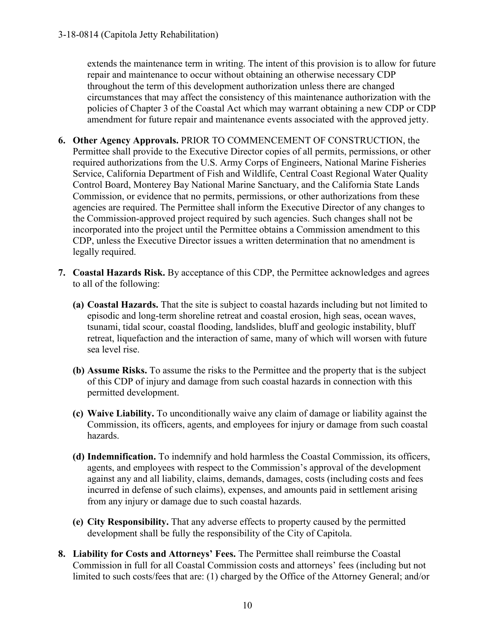extends the maintenance term in writing. The intent of this provision is to allow for future repair and maintenance to occur without obtaining an otherwise necessary CDP throughout the term of this development authorization unless there are changed circumstances that may affect the consistency of this maintenance authorization with the policies of Chapter 3 of the Coastal Act which may warrant obtaining a new CDP or CDP amendment for future repair and maintenance events associated with the approved jetty.

- **6. Other Agency Approvals.** PRIOR TO COMMENCEMENT OF CONSTRUCTION, the Permittee shall provide to the Executive Director copies of all permits, permissions, or other required authorizations from the U.S. Army Corps of Engineers, National Marine Fisheries Service, California Department of Fish and Wildlife, Central Coast Regional Water Quality Control Board, Monterey Bay National Marine Sanctuary, and the California State Lands Commission, or evidence that no permits, permissions, or other authorizations from these agencies are required. The Permittee shall inform the Executive Director of any changes to the Commission-approved project required by such agencies. Such changes shall not be incorporated into the project until the Permittee obtains a Commission amendment to this CDP, unless the Executive Director issues a written determination that no amendment is legally required.
- **7. Coastal Hazards Risk.** By acceptance of this CDP, the Permittee acknowledges and agrees to all of the following:
	- **(a) Coastal Hazards.** That the site is subject to coastal hazards including but not limited to episodic and long-term shoreline retreat and coastal erosion, high seas, ocean waves, tsunami, tidal scour, coastal flooding, landslides, bluff and geologic instability, bluff retreat, liquefaction and the interaction of same, many of which will worsen with future sea level rise.
	- **(b) Assume Risks.** To assume the risks to the Permittee and the property that is the subject of this CDP of injury and damage from such coastal hazards in connection with this permitted development.
	- **(c) Waive Liability.** To unconditionally waive any claim of damage or liability against the Commission, its officers, agents, and employees for injury or damage from such coastal hazards.
	- **(d) Indemnification.** To indemnify and hold harmless the Coastal Commission, its officers, agents, and employees with respect to the Commission's approval of the development against any and all liability, claims, demands, damages, costs (including costs and fees incurred in defense of such claims), expenses, and amounts paid in settlement arising from any injury or damage due to such coastal hazards.
	- **(e) City Responsibility.** That any adverse effects to property caused by the permitted development shall be fully the responsibility of the City of Capitola.
- **8. Liability for Costs and Attorneys' Fees.** The Permittee shall reimburse the Coastal Commission in full for all Coastal Commission costs and attorneys' fees (including but not limited to such costs/fees that are: (1) charged by the Office of the Attorney General; and/or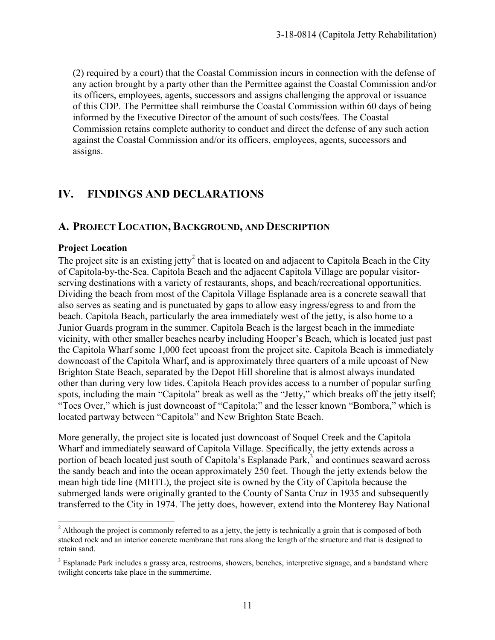(2) required by a court) that the Coastal Commission incurs in connection with the defense of any action brought by a party other than the Permittee against the Coastal Commission and/or its officers, employees, agents, successors and assigns challenging the approval or issuance of this CDP. The Permittee shall reimburse the Coastal Commission within 60 days of being informed by the Executive Director of the amount of such costs/fees. The Coastal Commission retains complete authority to conduct and direct the defense of any such action against the Coastal Commission and/or its officers, employees, agents, successors and assigns.

### **IV. FINDINGS AND DECLARATIONS**

### **A. PROJECT LOCATION, BACKGROUND, AND DESCRIPTION**

#### **Project Location**

The project site is an existing jetty<sup>2</sup> that is located on and adjacent to Capitola Beach in the City of Capitola-by-the-Sea. Capitola Beach and the adjacent Capitola Village are popular visitorserving destinations with a variety of restaurants, shops, and beach/recreational opportunities. Dividing the beach from most of the Capitola Village Esplanade area is a concrete seawall that also serves as seating and is punctuated by gaps to allow easy ingress/egress to and from the beach. Capitola Beach, particularly the area immediately west of the jetty, is also home to a Junior Guards program in the summer. Capitola Beach is the largest beach in the immediate vicinity, with other smaller beaches nearby including Hooper's Beach, which is located just past the Capitola Wharf some 1,000 feet upcoast from the project site. Capitola Beach is immediately downcoast of the Capitola Wharf, and is approximately three quarters of a mile upcoast of New Brighton State Beach, separated by the Depot Hill shoreline that is almost always inundated other than during very low tides. Capitola Beach provides access to a number of popular surfing spots, including the main "Capitola" break as well as the "Jetty," which breaks off the jetty itself; "Toes Over," which is just downcoast of "Capitola;" and the lesser known "Bombora," which is located partway between "Capitola" and New Brighton State Beach.

More generally, the project site is located just downcoast of Soquel Creek and the Capitola Wharf and immediately seaward of Capitola Village. Specifically, the jetty extends across a portion of beach located just south of Capitola's Esplanade Park, $3$  and continues seaward across the sandy beach and into the ocean approximately 250 feet. Though the jetty extends below the mean high tide line (MHTL), the project site is owned by the City of Capitola because the submerged lands were originally granted to the County of Santa Cruz in 1935 and subsequently transferred to the City in 1974. The jetty does, however, extend into the Monterey Bay National

 $\overline{a}$  $2$  Although the project is commonly referred to as a jetty, the jetty is technically a groin that is composed of both stacked rock and an interior concrete membrane that runs along the length of the structure and that is designed to retain sand.

<sup>&</sup>lt;sup>3</sup> Esplanade Park includes a grassy area, restrooms, showers, benches, interpretive signage, and a bandstand where twilight concerts take place in the summertime.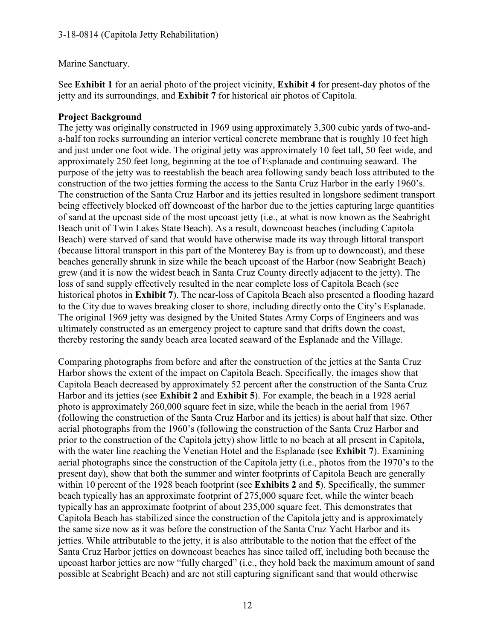Marine Sanctuary.

See **Exhibit 1** for an aerial photo of the project vicinity, **Exhibit 4** for present-day photos of the jetty and its surroundings, and **Exhibit 7** for historical air photos of Capitola.

#### **Project Background**

The jetty was originally constructed in 1969 using approximately 3,300 cubic yards of two-anda-half ton rocks surrounding an interior vertical concrete membrane that is roughly 10 feet high and just under one foot wide. The original jetty was approximately 10 feet tall, 50 feet wide, and approximately 250 feet long, beginning at the toe of Esplanade and continuing seaward. The purpose of the jetty was to reestablish the beach area following sandy beach loss attributed to the construction of the two jetties forming the access to the Santa Cruz Harbor in the early 1960's. The construction of the Santa Cruz Harbor and its jetties resulted in longshore sediment transport being effectively blocked off downcoast of the harbor due to the jetties capturing large quantities of sand at the upcoast side of the most upcoast jetty (i.e., at what is now known as the Seabright Beach unit of Twin Lakes State Beach). As a result, downcoast beaches (including Capitola Beach) were starved of sand that would have otherwise made its way through littoral transport (because littoral transport in this part of the Monterey Bay is from up to downcoast), and these beaches generally shrunk in size while the beach upcoast of the Harbor (now Seabright Beach) grew (and it is now the widest beach in Santa Cruz County directly adjacent to the jetty). The loss of sand supply effectively resulted in the near complete loss of Capitola Beach (see historical photos in **Exhibit 7**). The near-loss of Capitola Beach also presented a flooding hazard to the City due to waves breaking closer to shore, including directly onto the City's Esplanade. The original 1969 jetty was designed by the United States Army Corps of Engineers and was ultimately constructed as an emergency project to capture sand that drifts down the coast, thereby restoring the sandy beach area located seaward of the Esplanade and the Village.

Comparing photographs from before and after the construction of the jetties at the Santa Cruz Harbor shows the extent of the impact on Capitola Beach. Specifically, the images show that Capitola Beach decreased by approximately 52 percent after the construction of the Santa Cruz Harbor and its jetties (see **Exhibit 2** and **Exhibit 5**). For example, the beach in a 1928 aerial photo is approximately 260,000 square feet in size, while the beach in the aerial from 1967 (following the construction of the Santa Cruz Harbor and its jetties) is about half that size. Other aerial photographs from the 1960's (following the construction of the Santa Cruz Harbor and prior to the construction of the Capitola jetty) show little to no beach at all present in Capitola, with the water line reaching the Venetian Hotel and the Esplanade (see **Exhibit 7**). Examining aerial photographs since the construction of the Capitola jetty (i.e., photos from the 1970's to the present day), show that both the summer and winter footprints of Capitola Beach are generally within 10 percent of the 1928 beach footprint (see **Exhibits 2** and **5**). Specifically, the summer beach typically has an approximate footprint of 275,000 square feet, while the winter beach typically has an approximate footprint of about 235,000 square feet. This demonstrates that Capitola Beach has stabilized since the construction of the Capitola jetty and is approximately the same size now as it was before the construction of the Santa Cruz Yacht Harbor and its jetties. While attributable to the jetty, it is also attributable to the notion that the effect of the Santa Cruz Harbor jetties on downcoast beaches has since tailed off, including both because the upcoast harbor jetties are now "fully charged" (i.e., they hold back the maximum amount of sand possible at Seabright Beach) and are not still capturing significant sand that would otherwise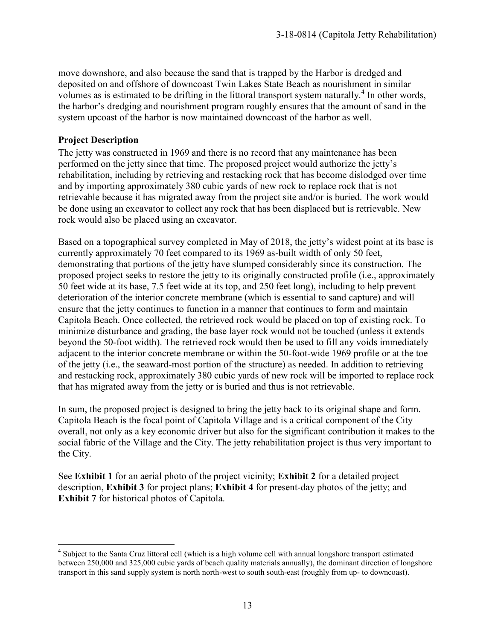move downshore, and also because the sand that is trapped by the Harbor is dredged and deposited on and offshore of downcoast Twin Lakes State Beach as nourishment in similar volumes as is estimated to be drifting in the littoral transport system naturally.<sup>4</sup> In other words, the harbor's dredging and nourishment program roughly ensures that the amount of sand in the system upcoast of the harbor is now maintained downcoast of the harbor as well.

#### **Project Description**

The jetty was constructed in 1969 and there is no record that any maintenance has been performed on the jetty since that time. The proposed project would authorize the jetty's rehabilitation, including by retrieving and restacking rock that has become dislodged over time and by importing approximately 380 cubic yards of new rock to replace rock that is not retrievable because it has migrated away from the project site and/or is buried. The work would be done using an excavator to collect any rock that has been displaced but is retrievable. New rock would also be placed using an excavator.

Based on a topographical survey completed in May of 2018, the jetty's widest point at its base is currently approximately 70 feet compared to its 1969 as-built width of only 50 feet, demonstrating that portions of the jetty have slumped considerably since its construction. The proposed project seeks to restore the jetty to its originally constructed profile (i.e., approximately 50 feet wide at its base, 7.5 feet wide at its top, and 250 feet long), including to help prevent deterioration of the interior concrete membrane (which is essential to sand capture) and will ensure that the jetty continues to function in a manner that continues to form and maintain Capitola Beach. Once collected, the retrieved rock would be placed on top of existing rock. To minimize disturbance and grading, the base layer rock would not be touched (unless it extends beyond the 50-foot width). The retrieved rock would then be used to fill any voids immediately adjacent to the interior concrete membrane or within the 50-foot-wide 1969 profile or at the toe of the jetty (i.e., the seaward-most portion of the structure) as needed. In addition to retrieving and restacking rock, approximately 380 cubic yards of new rock will be imported to replace rock that has migrated away from the jetty or is buried and thus is not retrievable.

In sum, the proposed project is designed to bring the jetty back to its original shape and form. Capitola Beach is the focal point of Capitola Village and is a critical component of the City overall, not only as a key economic driver but also for the significant contribution it makes to the social fabric of the Village and the City. The jetty rehabilitation project is thus very important to the City.

See **Exhibit 1** for an aerial photo of the project vicinity; **Exhibit 2** for a detailed project description, **Exhibit 3** for project plans; **Exhibit 4** for present-day photos of the jetty; and **Exhibit 7** for historical photos of Capitola.

<sup>&</sup>lt;sup>4</sup> Subject to the Santa Cruz littoral cell (which is a high volume cell with annual longshore transport estimated between 250,000 and 325,000 cubic yards of beach quality materials annually), the dominant direction of longshore transport in this sand supply system is north north-west to south south-east (roughly from up- to downcoast).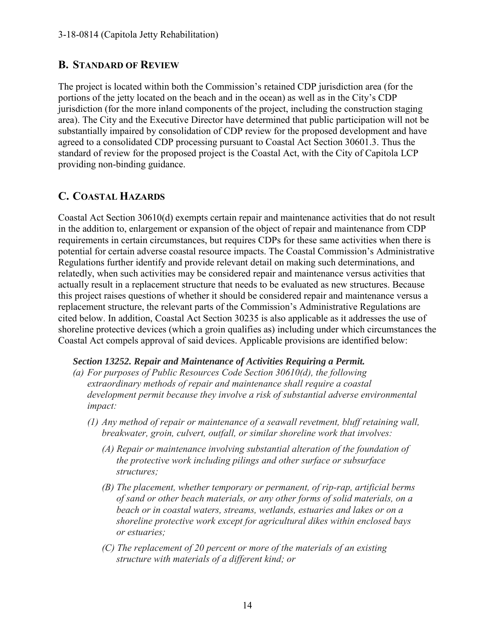### **B. STANDARD OF REVIEW**

The project is located within both the Commission's retained CDP jurisdiction area (for the portions of the jetty located on the beach and in the ocean) as well as in the City's CDP jurisdiction (for the more inland components of the project, including the construction staging area). The City and the Executive Director have determined that public participation will not be substantially impaired by consolidation of CDP review for the proposed development and have agreed to a consolidated CDP processing pursuant to Coastal Act Section 30601.3. Thus the standard of review for the proposed project is the Coastal Act, with the City of Capitola LCP providing non-binding guidance.

### **C. COASTAL HAZARDS**

Coastal Act Section 30610(d) exempts certain repair and maintenance activities that do not result in the addition to, enlargement or expansion of the object of repair and maintenance from CDP requirements in certain circumstances, but requires CDPs for these same activities when there is potential for certain adverse coastal resource impacts. The Coastal Commission's Administrative Regulations further identify and provide relevant detail on making such determinations, and relatedly, when such activities may be considered repair and maintenance versus activities that actually result in a replacement structure that needs to be evaluated as new structures. Because this project raises questions of whether it should be considered repair and maintenance versus a replacement structure, the relevant parts of the Commission's Administrative Regulations are cited below. In addition, Coastal Act Section 30235 is also applicable as it addresses the use of shoreline protective devices (which a groin qualifies as) including under which circumstances the Coastal Act compels approval of said devices. Applicable provisions are identified below:

#### *Section 13252. Repair and Maintenance of Activities Requiring a Permit.*

- *(a) For purposes of Public Resources Code Section 30610(d), the following extraordinary methods of repair and maintenance shall require a coastal development permit because they involve a risk of substantial adverse environmental impact:*
	- *(1) Any method of repair or maintenance of a seawall revetment, bluff retaining wall, breakwater, groin, culvert, outfall, or similar shoreline work that involves:*
		- *(A) Repair or maintenance involving substantial alteration of the foundation of the protective work including pilings and other surface or subsurface structures;*
		- *(B) The placement, whether temporary or permanent, of rip-rap, artificial berms of sand or other beach materials, or any other forms of solid materials, on a beach or in coastal waters, streams, wetlands, estuaries and lakes or on a shoreline protective work except for agricultural dikes within enclosed bays or estuaries;*
		- *(C) The replacement of 20 percent or more of the materials of an existing structure with materials of a different kind; or*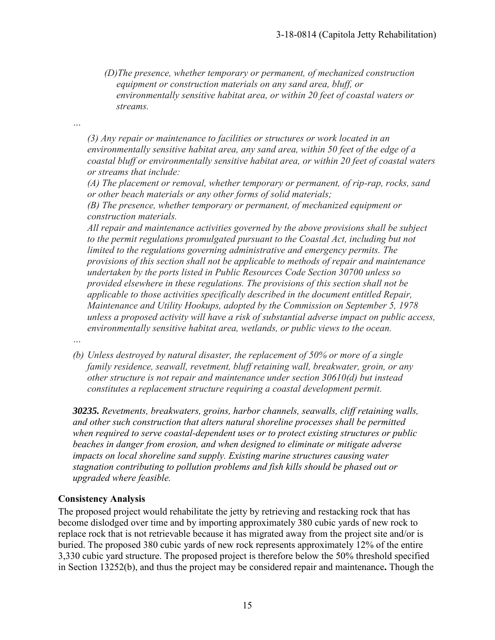*(D)The presence, whether temporary or permanent, of mechanized construction equipment or construction materials on any sand area, bluff, or environmentally sensitive habitat area, or within 20 feet of coastal waters or streams.* 

*(3) Any repair or maintenance to facilities or structures or work located in an environmentally sensitive habitat area, any sand area, within 50 feet of the edge of a coastal bluff or environmentally sensitive habitat area, or within 20 feet of coastal waters or streams that include:*

*(A) The placement or removal, whether temporary or permanent, of rip-rap, rocks, sand or other beach materials or any other forms of solid materials;*

*(B) The presence, whether temporary or permanent, of mechanized equipment or construction materials.*

*All repair and maintenance activities governed by the above provisions shall be subject*  to the permit regulations promulgated pursuant to the Coastal Act, including but not *limited to the regulations governing administrative and emergency permits. The provisions of this section shall not be applicable to methods of repair and maintenance undertaken by the ports listed in Public Resources Code Section 30700 unless so provided elsewhere in these regulations. The provisions of this section shall not be applicable to those activities specifically described in the document entitled Repair, Maintenance and Utility Hookups, adopted by the Commission on September 5, 1978 unless a proposed activity will have a risk of substantial adverse impact on public access, environmentally sensitive habitat area, wetlands, or public views to the ocean.*

*…*

*…*

*(b) Unless destroyed by natural disaster, the replacement of 50% or more of a single family residence, seawall, revetment, bluff retaining wall, breakwater, groin, or any other structure is not repair and maintenance under section 30610(d) but instead constitutes a replacement structure requiring a coastal development permit.* 

*30235. Revetments, breakwaters, groins, harbor channels, seawalls, cliff retaining walls, and other such construction that alters natural shoreline processes shall be permitted when required to serve coastal-dependent uses or to protect existing structures or public beaches in danger from erosion, and when designed to eliminate or mitigate adverse impacts on local shoreline sand supply. Existing marine structures causing water stagnation contributing to pollution problems and fish kills should be phased out or upgraded where feasible.* 

#### **Consistency Analysis**

The proposed project would rehabilitate the jetty by retrieving and restacking rock that has become dislodged over time and by importing approximately 380 cubic yards of new rock to replace rock that is not retrievable because it has migrated away from the project site and/or is buried. The proposed 380 cubic yards of new rock represents approximately 12% of the entire 3,330 cubic yard structure. The proposed project is therefore below the 50% threshold specified in Section 13252(b), and thus the project may be considered repair and maintenance**.** Though the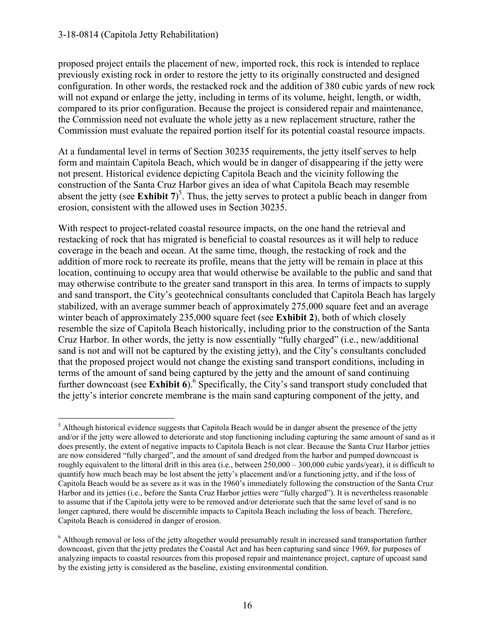#### 3-18-0814 (Capitola Jetty Rehabilitation)

proposed project entails the placement of new, imported rock, this rock is intended to replace previously existing rock in order to restore the jetty to its originally constructed and designed configuration. In other words, the restacked rock and the addition of 380 cubic yards of new rock will not expand or enlarge the jetty, including in terms of its volume, height, length, or width, compared to its prior configuration. Because the project is considered repair and maintenance, the Commission need not evaluate the whole jetty as a new replacement structure, rather the Commission must evaluate the repaired portion itself for its potential coastal resource impacts.

At a fundamental level in terms of Section 30235 requirements, the jetty itself serves to help form and maintain Capitola Beach, which would be in danger of disappearing if the jetty were not present. Historical evidence depicting Capitola Beach and the vicinity following the construction of the Santa Cruz Harbor gives an idea of what Capitola Beach may resemble absent the jetty (see **Exhibit 7**) 5 . Thus, the jetty serves to protect a public beach in danger from erosion, consistent with the allowed uses in Section 30235.

With respect to project-related coastal resource impacts, on the one hand the retrieval and restacking of rock that has migrated is beneficial to coastal resources as it will help to reduce coverage in the beach and ocean. At the same time, though, the restacking of rock and the addition of more rock to recreate its profile, means that the jetty will be remain in place at this location, continuing to occupy area that would otherwise be available to the public and sand that may otherwise contribute to the greater sand transport in this area. In terms of impacts to supply and sand transport, the City's geotechnical consultants concluded that Capitola Beach has largely stabilized, with an average summer beach of approximately 275,000 square feet and an average winter beach of approximately 235,000 square feet (see **Exhibit 2**), both of which closely resemble the size of Capitola Beach historically, including prior to the construction of the Santa Cruz Harbor. In other words, the jetty is now essentially "fully charged" (i.e., new/additional sand is not and will not be captured by the existing jetty), and the City's consultants concluded that the proposed project would not change the existing sand transport conditions, including in terms of the amount of sand being captured by the jetty and the amount of sand continuing further downcoast (see Exhibit 6).<sup>6</sup> Specifically, the City's sand transport study concluded that the jetty's interior concrete membrane is the main sand capturing component of the jetty, and

 $\overline{a}$  $<sup>5</sup>$  Although historical evidence suggests that Capitola Beach would be in danger absent the presence of the jetty</sup> and/or if the jetty were allowed to deteriorate and stop functioning including capturing the same amount of sand as it does presently, the extent of negative impacts to Capitola Beach is not clear. Because the Santa Cruz Harbor jetties are now considered "fully charged", and the amount of sand dredged from the harbor and pumped downcoast is roughly equivalent to the littoral drift in this area (i.e., between 250,000 – 300,000 cubic yards/year), it is difficult to quantify how much beach may be lost absent the jetty's placement and/or a functioning jetty, and if the loss of Capitola Beach would be as severe as it was in the 1960's immediately following the construction of the Santa Cruz Harbor and its jetties (i.e., before the Santa Cruz Harbor jetties were "fully charged"). It is nevertheless reasonable to assume that if the Capitola jetty were to be removed and/or deteriorate such that the same level of sand is no longer captured, there would be discernible impacts to Capitola Beach including the loss of beach. Therefore, Capitola Beach is considered in danger of erosion.

<sup>&</sup>lt;sup>6</sup> Although removal or loss of the jetty altogether would presumably result in increased sand transportation further downcoast, given that the jetty predates the Coastal Act and has been capturing sand since 1969, for purposes of analyzing impacts to coastal resources from this proposed repair and maintenance project, capture of upcoast sand by the existing jetty is considered as the baseline, existing environmental condition.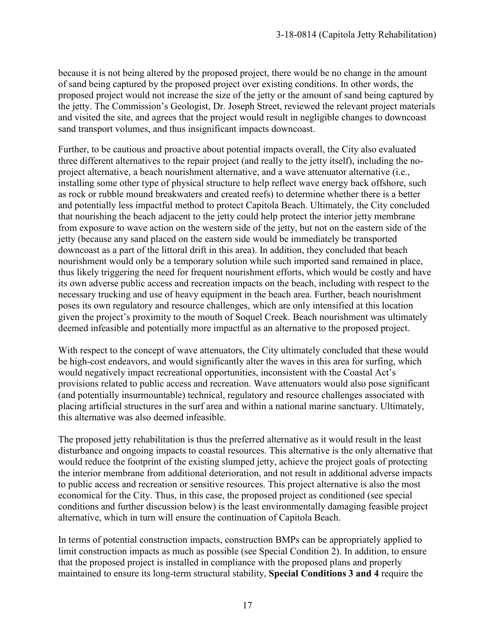because it is not being altered by the proposed project, there would be no change in the amount of sand being captured by the proposed project over existing conditions. In other words, the proposed project would not increase the size of the jetty or the amount of sand being captured by the jetty. The Commission's Geologist, Dr. Joseph Street, reviewed the relevant project materials and visited the site, and agrees that the project would result in negligible changes to downcoast sand transport volumes, and thus insignificant impacts downcoast.

Further, to be cautious and proactive about potential impacts overall, the City also evaluated three different alternatives to the repair project (and really to the jetty itself), including the noproject alternative, a beach nourishment alternative, and a wave attenuator alternative (i.e., installing some other type of physical structure to help reflect wave energy back offshore, such as rock or rubble mound breakwaters and created reefs) to determine whether there is a better and potentially less impactful method to protect Capitola Beach. Ultimately, the City concluded that nourishing the beach adjacent to the jetty could help protect the interior jetty membrane from exposure to wave action on the western side of the jetty, but not on the eastern side of the jetty (because any sand placed on the eastern side would be immediately be transported downcoast as a part of the littoral drift in this area). In addition, they concluded that beach nourishment would only be a temporary solution while such imported sand remained in place, thus likely triggering the need for frequent nourishment efforts, which would be costly and have its own adverse public access and recreation impacts on the beach, including with respect to the necessary trucking and use of heavy equipment in the beach area. Further, beach nourishment poses its own regulatory and resource challenges, which are only intensified at this location given the project's proximity to the mouth of Soquel Creek. Beach nourishment was ultimately deemed infeasible and potentially more impactful as an alternative to the proposed project.

With respect to the concept of wave attenuators, the City ultimately concluded that these would be high-cost endeavors, and would significantly alter the waves in this area for surfing, which would negatively impact recreational opportunities, inconsistent with the Coastal Act's provisions related to public access and recreation. Wave attenuators would also pose significant (and potentially insurmountable) technical, regulatory and resource challenges associated with placing artificial structures in the surf area and within a national marine sanctuary. Ultimately, this alternative was also deemed infeasible.

The proposed jetty rehabilitation is thus the preferred alternative as it would result in the least disturbance and ongoing impacts to coastal resources. This alternative is the only alternative that would reduce the footprint of the existing slumped jetty, achieve the project goals of protecting the interior membrane from additional deterioration, and not result in additional adverse impacts to public access and recreation or sensitive resources. This project alternative is also the most economical for the City. Thus, in this case, the proposed project as conditioned (see special conditions and further discussion below) is the least environmentally damaging feasible project alternative, which in turn will ensure the continuation of Capitola Beach.

In terms of potential construction impacts, construction BMPs can be appropriately applied to limit construction impacts as much as possible (see Special Condition 2). In addition, to ensure that the proposed project is installed in compliance with the proposed plans and properly maintained to ensure its long-term structural stability, **Special Conditions 3 and 4** require the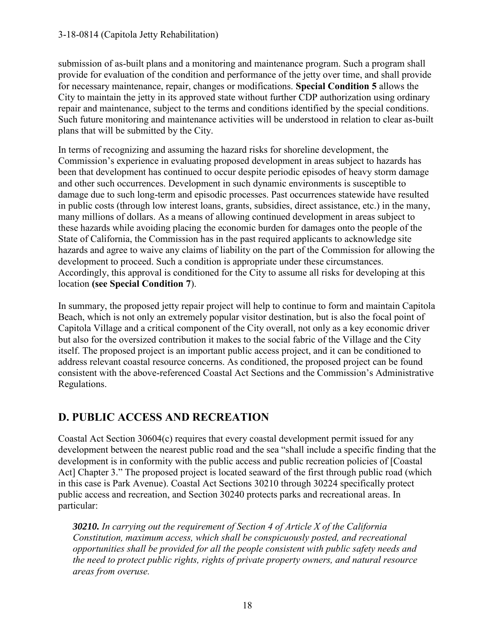submission of as-built plans and a monitoring and maintenance program. Such a program shall provide for evaluation of the condition and performance of the jetty over time, and shall provide for necessary maintenance, repair, changes or modifications. **Special Condition 5** allows the City to maintain the jetty in its approved state without further CDP authorization using ordinary repair and maintenance, subject to the terms and conditions identified by the special conditions. Such future monitoring and maintenance activities will be understood in relation to clear as-built plans that will be submitted by the City.

In terms of recognizing and assuming the hazard risks for shoreline development, the Commission's experience in evaluating proposed development in areas subject to hazards has been that development has continued to occur despite periodic episodes of heavy storm damage and other such occurrences. Development in such dynamic environments is susceptible to damage due to such long-term and episodic processes. Past occurrences statewide have resulted in public costs (through low interest loans, grants, subsidies, direct assistance, etc.) in the many, many millions of dollars. As a means of allowing continued development in areas subject to these hazards while avoiding placing the economic burden for damages onto the people of the State of California, the Commission has in the past required applicants to acknowledge site hazards and agree to waive any claims of liability on the part of the Commission for allowing the development to proceed. Such a condition is appropriate under these circumstances. Accordingly, this approval is conditioned for the City to assume all risks for developing at this location **(see Special Condition 7**).

In summary, the proposed jetty repair project will help to continue to form and maintain Capitola Beach, which is not only an extremely popular visitor destination, but is also the focal point of Capitola Village and a critical component of the City overall, not only as a key economic driver but also for the oversized contribution it makes to the social fabric of the Village and the City itself. The proposed project is an important public access project, and it can be conditioned to address relevant coastal resource concerns. As conditioned, the proposed project can be found consistent with the above-referenced Coastal Act Sections and the Commission's Administrative Regulations.

### **D. PUBLIC ACCESS AND RECREATION**

Coastal Act Section 30604(c) requires that every coastal development permit issued for any development between the nearest public road and the sea "shall include a specific finding that the development is in conformity with the public access and public recreation policies of [Coastal Act] Chapter 3." The proposed project is located seaward of the first through public road (which in this case is Park Avenue). Coastal Act Sections 30210 through 30224 specifically protect public access and recreation, and Section 30240 protects parks and recreational areas. In particular:

*30210. In carrying out the requirement of Section 4 of Article X of the California Constitution, maximum access, which shall be conspicuously posted, and recreational opportunities shall be provided for all the people consistent with public safety needs and the need to protect public rights, rights of private property owners, and natural resource areas from overuse.*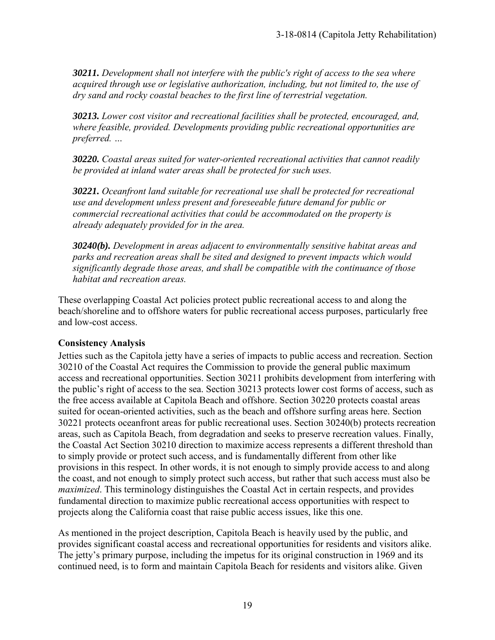*30211. Development shall not interfere with the public's right of access to the sea where acquired through use or legislative authorization, including, but not limited to, the use of dry sand and rocky coastal beaches to the first line of terrestrial vegetation.* 

*30213. Lower cost visitor and recreational facilities shall be protected, encouraged, and, where feasible, provided. Developments providing public recreational opportunities are preferred. …* 

*30220. Coastal areas suited for water-oriented recreational activities that cannot readily be provided at inland water areas shall be protected for such uses.* 

*30221. Oceanfront land suitable for recreational use shall be protected for recreational use and development unless present and foreseeable future demand for public or commercial recreational activities that could be accommodated on the property is already adequately provided for in the area.* 

*30240(b). Development in areas adjacent to environmentally sensitive habitat areas and parks and recreation areas shall be sited and designed to prevent impacts which would significantly degrade those areas, and shall be compatible with the continuance of those habitat and recreation areas.* 

These overlapping Coastal Act policies protect public recreational access to and along the beach/shoreline and to offshore waters for public recreational access purposes, particularly free and low-cost access.

#### **Consistency Analysis**

Jetties such as the Capitola jetty have a series of impacts to public access and recreation. Section 30210 of the Coastal Act requires the Commission to provide the general public maximum access and recreational opportunities. Section 30211 prohibits development from interfering with the public's right of access to the sea. Section 30213 protects lower cost forms of access, such as the free access available at Capitola Beach and offshore. Section 30220 protects coastal areas suited for ocean-oriented activities, such as the beach and offshore surfing areas here. Section 30221 protects oceanfront areas for public recreational uses. Section 30240(b) protects recreation areas, such as Capitola Beach, from degradation and seeks to preserve recreation values. Finally, the Coastal Act Section 30210 direction to maximize access represents a different threshold than to simply provide or protect such access, and is fundamentally different from other like provisions in this respect. In other words, it is not enough to simply provide access to and along the coast, and not enough to simply protect such access, but rather that such access must also be *maximized*. This terminology distinguishes the Coastal Act in certain respects, and provides fundamental direction to maximize public recreational access opportunities with respect to projects along the California coast that raise public access issues, like this one.

As mentioned in the project description, Capitola Beach is heavily used by the public, and provides significant coastal access and recreational opportunities for residents and visitors alike. The jetty's primary purpose, including the impetus for its original construction in 1969 and its continued need, is to form and maintain Capitola Beach for residents and visitors alike. Given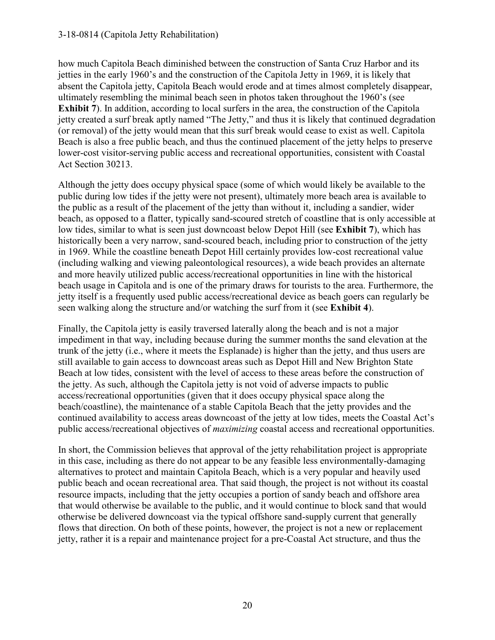#### 3-18-0814 (Capitola Jetty Rehabilitation)

how much Capitola Beach diminished between the construction of Santa Cruz Harbor and its jetties in the early 1960's and the construction of the Capitola Jetty in 1969, it is likely that absent the Capitola jetty, Capitola Beach would erode and at times almost completely disappear, ultimately resembling the minimal beach seen in photos taken throughout the 1960's (see **Exhibit 7**). In addition, according to local surfers in the area, the construction of the Capitola jetty created a surf break aptly named "The Jetty," and thus it is likely that continued degradation (or removal) of the jetty would mean that this surf break would cease to exist as well. Capitola Beach is also a free public beach, and thus the continued placement of the jetty helps to preserve lower-cost visitor-serving public access and recreational opportunities, consistent with Coastal Act Section 30213.

Although the jetty does occupy physical space (some of which would likely be available to the public during low tides if the jetty were not present), ultimately more beach area is available to the public as a result of the placement of the jetty than without it, including a sandier, wider beach, as opposed to a flatter, typically sand-scoured stretch of coastline that is only accessible at low tides, similar to what is seen just downcoast below Depot Hill (see **Exhibit 7**), which has historically been a very narrow, sand-scoured beach, including prior to construction of the jetty in 1969. While the coastline beneath Depot Hill certainly provides low-cost recreational value (including walking and viewing paleontological resources), a wide beach provides an alternate and more heavily utilized public access/recreational opportunities in line with the historical beach usage in Capitola and is one of the primary draws for tourists to the area. Furthermore, the jetty itself is a frequently used public access/recreational device as beach goers can regularly be seen walking along the structure and/or watching the surf from it (see **Exhibit 4**).

Finally, the Capitola jetty is easily traversed laterally along the beach and is not a major impediment in that way, including because during the summer months the sand elevation at the trunk of the jetty (i.e., where it meets the Esplanade) is higher than the jetty, and thus users are still available to gain access to downcoast areas such as Depot Hill and New Brighton State Beach at low tides, consistent with the level of access to these areas before the construction of the jetty. As such, although the Capitola jetty is not void of adverse impacts to public access/recreational opportunities (given that it does occupy physical space along the beach/coastline), the maintenance of a stable Capitola Beach that the jetty provides and the continued availability to access areas downcoast of the jetty at low tides, meets the Coastal Act's public access/recreational objectives of *maximizing* coastal access and recreational opportunities.

In short, the Commission believes that approval of the jetty rehabilitation project is appropriate in this case, including as there do not appear to be any feasible less environmentally-damaging alternatives to protect and maintain Capitola Beach, which is a very popular and heavily used public beach and ocean recreational area. That said though, the project is not without its coastal resource impacts, including that the jetty occupies a portion of sandy beach and offshore area that would otherwise be available to the public, and it would continue to block sand that would otherwise be delivered downcoast via the typical offshore sand-supply current that generally flows that direction. On both of these points, however, the project is not a new or replacement jetty, rather it is a repair and maintenance project for a pre-Coastal Act structure, and thus the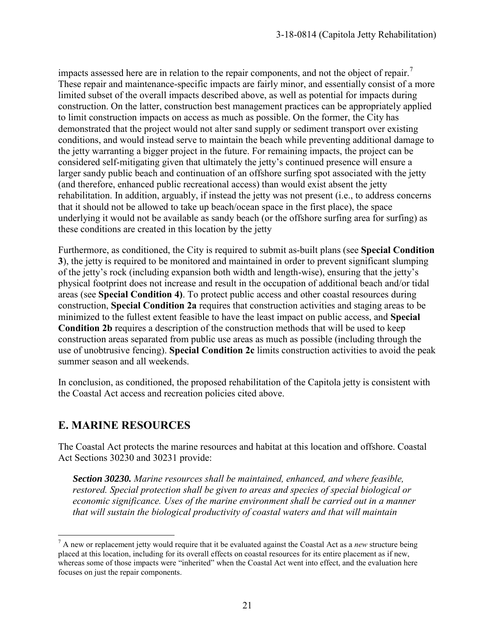impacts assessed here are in relation to the repair components, and not the object of repair.<sup>7</sup> These repair and maintenance-specific impacts are fairly minor, and essentially consist of a more limited subset of the overall impacts described above, as well as potential for impacts during construction. On the latter, construction best management practices can be appropriately applied to limit construction impacts on access as much as possible. On the former, the City has demonstrated that the project would not alter sand supply or sediment transport over existing conditions, and would instead serve to maintain the beach while preventing additional damage to the jetty warranting a bigger project in the future. For remaining impacts, the project can be considered self-mitigating given that ultimately the jetty's continued presence will ensure a larger sandy public beach and continuation of an offshore surfing spot associated with the jetty (and therefore, enhanced public recreational access) than would exist absent the jetty rehabilitation. In addition, arguably, if instead the jetty was not present (i.e., to address concerns that it should not be allowed to take up beach/ocean space in the first place), the space underlying it would not be available as sandy beach (or the offshore surfing area for surfing) as these conditions are created in this location by the jetty

Furthermore, as conditioned, the City is required to submit as-built plans (see **Special Condition 3**), the jetty is required to be monitored and maintained in order to prevent significant slumping of the jetty's rock (including expansion both width and length-wise), ensuring that the jetty's physical footprint does not increase and result in the occupation of additional beach and/or tidal areas (see **Special Condition 4)**. To protect public access and other coastal resources during construction, **Special Condition 2a** requires that construction activities and staging areas to be minimized to the fullest extent feasible to have the least impact on public access, and **Special Condition 2b** requires a description of the construction methods that will be used to keep construction areas separated from public use areas as much as possible (including through the use of unobtrusive fencing). **Special Condition 2c** limits construction activities to avoid the peak summer season and all weekends.

In conclusion, as conditioned, the proposed rehabilitation of the Capitola jetty is consistent with the Coastal Act access and recreation policies cited above.

### **E. MARINE RESOURCES**

The Coastal Act protects the marine resources and habitat at this location and offshore. Coastal Act Sections 30230 and 30231 provide:

*Section 30230. Marine resources shall be maintained, enhanced, and where feasible, restored. Special protection shall be given to areas and species of special biological or economic significance. Uses of the marine environment shall be carried out in a manner that will sustain the biological productivity of coastal waters and that will maintain* 

 $\overline{a}$ 7 A new or replacement jetty would require that it be evaluated against the Coastal Act as a *new* structure being placed at this location, including for its overall effects on coastal resources for its entire placement as if new, whereas some of those impacts were "inherited" when the Coastal Act went into effect, and the evaluation here focuses on just the repair components.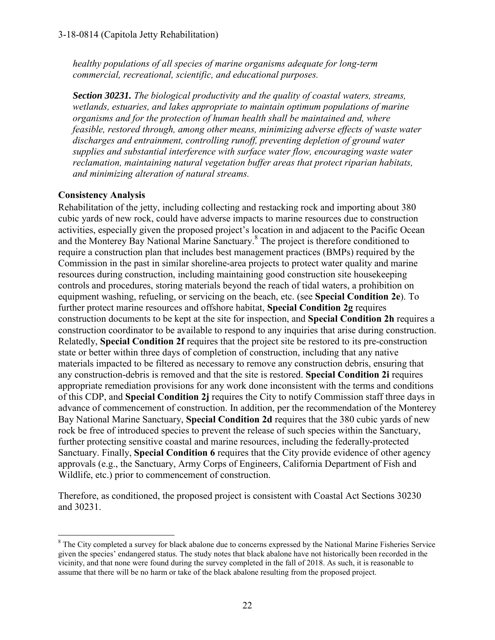*healthy populations of all species of marine organisms adequate for long-term commercial, recreational, scientific, and educational purposes.* 

*Section 30231. The biological productivity and the quality of coastal waters, streams, wetlands, estuaries, and lakes appropriate to maintain optimum populations of marine organisms and for the protection of human health shall be maintained and, where feasible, restored through, among other means, minimizing adverse effects of waste water discharges and entrainment, controlling runoff, preventing depletion of ground water supplies and substantial interference with surface water flow, encouraging waste water reclamation, maintaining natural vegetation buffer areas that protect riparian habitats, and minimizing alteration of natural streams.* 

#### **Consistency Analysis**

Rehabilitation of the jetty, including collecting and restacking rock and importing about 380 cubic yards of new rock, could have adverse impacts to marine resources due to construction activities, especially given the proposed project's location in and adjacent to the Pacific Ocean and the Monterey Bay National Marine Sanctuary.<sup>8</sup> The project is therefore conditioned to require a construction plan that includes best management practices (BMPs) required by the Commission in the past in similar shoreline-area projects to protect water quality and marine resources during construction, including maintaining good construction site housekeeping controls and procedures, storing materials beyond the reach of tidal waters, a prohibition on equipment washing, refueling, or servicing on the beach, etc. (see **Special Condition 2e**). To further protect marine resources and offshore habitat, **Special Condition 2g** requires construction documents to be kept at the site for inspection, and **Special Condition 2h** requires a construction coordinator to be available to respond to any inquiries that arise during construction. Relatedly, **Special Condition 2f** requires that the project site be restored to its pre-construction state or better within three days of completion of construction, including that any native materials impacted to be filtered as necessary to remove any construction debris, ensuring that any construction-debris is removed and that the site is restored. **Special Condition 2i** requires appropriate remediation provisions for any work done inconsistent with the terms and conditions of this CDP, and **Special Condition 2j** requires the City to notify Commission staff three days in advance of commencement of construction. In addition, per the recommendation of the Monterey Bay National Marine Sanctuary, **Special Condition 2d** requires that the 380 cubic yards of new rock be free of introduced species to prevent the release of such species within the Sanctuary, further protecting sensitive coastal and marine resources, including the federally-protected Sanctuary. Finally, **Special Condition 6** requires that the City provide evidence of other agency approvals (e.g., the Sanctuary, Army Corps of Engineers, California Department of Fish and Wildlife, etc.) prior to commencement of construction.

Therefore, as conditioned, the proposed project is consistent with Coastal Act Sections 30230 and 30231.

 $\overline{a}$  $8$  The City completed a survey for black abalone due to concerns expressed by the National Marine Fisheries Service given the species' endangered status. The study notes that black abalone have not historically been recorded in the vicinity, and that none were found during the survey completed in the fall of 2018. As such, it is reasonable to assume that there will be no harm or take of the black abalone resulting from the proposed project.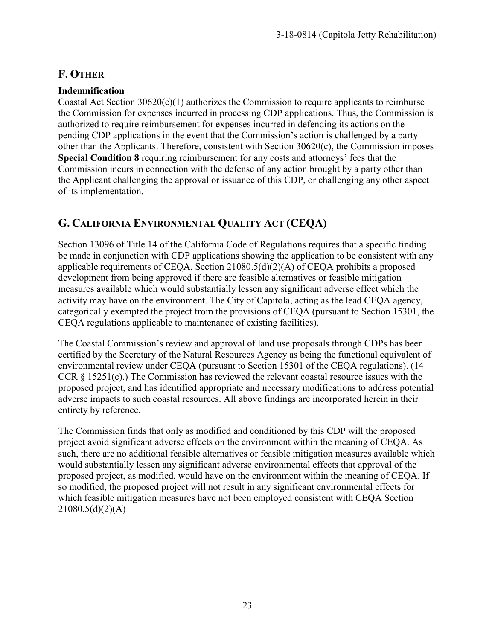### **F. OTHER**

#### **Indemnification**

Coastal Act Section 30620(c)(1) authorizes the Commission to require applicants to reimburse the Commission for expenses incurred in processing CDP applications. Thus, the Commission is authorized to require reimbursement for expenses incurred in defending its actions on the pending CDP applications in the event that the Commission's action is challenged by a party other than the Applicants. Therefore, consistent with Section 30620(c), the Commission imposes **Special Condition 8** requiring reimbursement for any costs and attorneys' fees that the Commission incurs in connection with the defense of any action brought by a party other than the Applicant challenging the approval or issuance of this CDP, or challenging any other aspect of its implementation.

### **G. CALIFORNIA ENVIRONMENTAL QUALITY ACT (CEQA)**

Section 13096 of Title 14 of the California Code of Regulations requires that a specific finding be made in conjunction with CDP applications showing the application to be consistent with any applicable requirements of CEQA. Section 21080.5(d)(2)(A) of CEQA prohibits a proposed development from being approved if there are feasible alternatives or feasible mitigation measures available which would substantially lessen any significant adverse effect which the activity may have on the environment. The City of Capitola, acting as the lead CEQA agency, categorically exempted the project from the provisions of CEQA (pursuant to Section 15301, the CEQA regulations applicable to maintenance of existing facilities).

The Coastal Commission's review and approval of land use proposals through CDPs has been certified by the Secretary of the Natural Resources Agency as being the functional equivalent of environmental review under CEQA (pursuant to Section 15301 of the CEQA regulations). (14 CCR § 15251(c).) The Commission has reviewed the relevant coastal resource issues with the proposed project, and has identified appropriate and necessary modifications to address potential adverse impacts to such coastal resources. All above findings are incorporated herein in their entirety by reference.

The Commission finds that only as modified and conditioned by this CDP will the proposed project avoid significant adverse effects on the environment within the meaning of CEQA. As such, there are no additional feasible alternatives or feasible mitigation measures available which would substantially lessen any significant adverse environmental effects that approval of the proposed project, as modified, would have on the environment within the meaning of CEQA. If so modified, the proposed project will not result in any significant environmental effects for which feasible mitigation measures have not been employed consistent with CEQA Section  $21080.5(d)(2)(A)$